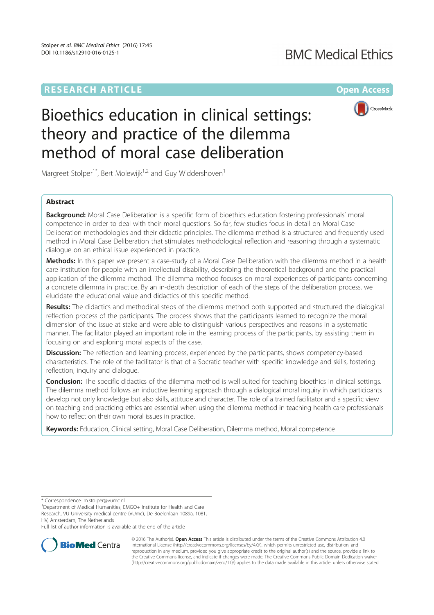# **RESEARCH ARTICLE Example 2014 12:30 The Contract of Contract Article 2014**

**BMC Medical Ethics** 



CrossMark

Margreet Stolper<sup>1\*</sup>, Bert Molewijk<sup>1,2</sup> and Guy Widdershoven<sup>1</sup>

# Abstract

**Background:** Moral Case Deliberation is a specific form of bioethics education fostering professionals' moral competence in order to deal with their moral questions. So far, few studies focus in detail on Moral Case Deliberation methodologies and their didactic principles. The dilemma method is a structured and frequently used method in Moral Case Deliberation that stimulates methodological reflection and reasoning through a systematic dialogue on an ethical issue experienced in practice.

Methods: In this paper we present a case-study of a Moral Case Deliberation with the dilemma method in a health care institution for people with an intellectual disability, describing the theoretical background and the practical application of the dilemma method. The dilemma method focuses on moral experiences of participants concerning a concrete dilemma in practice. By an in-depth description of each of the steps of the deliberation process, we elucidate the educational value and didactics of this specific method.

Results: The didactics and methodical steps of the dilemma method both supported and structured the dialogical reflection process of the participants. The process shows that the participants learned to recognize the moral dimension of the issue at stake and were able to distinguish various perspectives and reasons in a systematic manner. The facilitator played an important role in the learning process of the participants, by assisting them in focusing on and exploring moral aspects of the case.

**Discussion:** The reflection and learning process, experienced by the participants, shows competency-based characteristics. The role of the facilitator is that of a Socratic teacher with specific knowledge and skills, fostering reflection, inquiry and dialogue.

**Conclusion:** The specific didactics of the dilemma method is well suited for teaching bioethics in clinical settings. The dilemma method follows an inductive learning approach through a dialogical moral inquiry in which participants develop not only knowledge but also skills, attitude and character. The role of a trained facilitator and a specific view on teaching and practicing ethics are essential when using the dilemma method in teaching health care professionals how to reflect on their own moral issues in practice.

Keywords: Education, Clinical setting, Moral Case Deliberation, Dilemma method, Moral competence

\* Correspondence: m.stolper@vumc.nl <sup>1</sup>

<sup>1</sup> Department of Medical Humanities, EMGO+ Institute for Health and Care

Research, VU University medical centre (VUmc), De Boelenlaan 1089a, 1081, HV, Amsterdam, The Netherlands

Full list of author information is available at the end of the article



© 2016 The Author(s). Open Access This article is distributed under the terms of the Creative Commons Attribution 4.0 International License (http://creativecommons.org/licenses/by/4.0/), which permits unrestricted use, distribution, and reproduction in any medium, provided you give appropriate credit to the original author(s) and the source, provide a link to the Creative Commons license, and indicate if changes were made. The Creative Commons Public Domain Dedication waiver (http://creativecommons.org/publicdomain/zero/1.0/) applies to the data made available in this article, unless otherwise stated.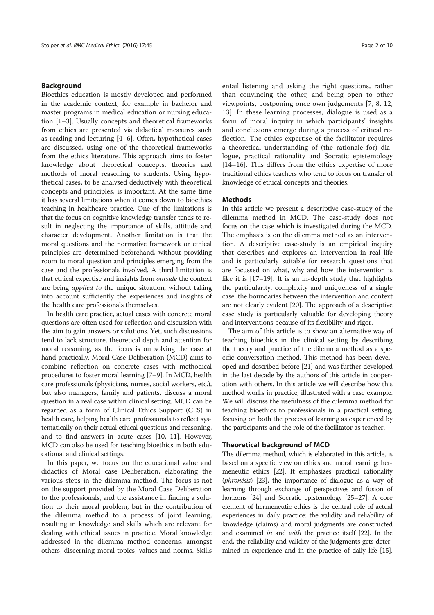### **Background**

Bioethics education is mostly developed and performed in the academic context, for example in bachelor and master programs in medical education or nursing education [1–3]. Usually concepts and theoretical frameworks from ethics are presented via didactical measures such as reading and lecturing [4–6]. Often, hypothetical cases are discussed, using one of the theoretical frameworks from the ethics literature. This approach aims to foster knowledge about theoretical concepts, theories and methods of moral reasoning to students. Using hypothetical cases, to be analysed deductively with theoretical concepts and principles, is important. At the same time it has several limitations when it comes down to bioethics teaching in healthcare practice. One of the limitations is that the focus on cognitive knowledge transfer tends to result in neglecting the importance of skills, attitude and character development. Another limitation is that the moral questions and the normative framework or ethical principles are determined beforehand, without providing room to moral question and principles emerging from the case and the professionals involved. A third limitation is that ethical expertise and insights from outside the context are being applied to the unique situation, without taking into account sufficiently the experiences and insights of the health care professionals themselves.

In health care practice, actual cases with concrete moral questions are often used for reflection and discussion with the aim to gain answers or solutions. Yet, such discussions tend to lack structure, theoretical depth and attention for moral reasoning, as the focus is on solving the case at hand practically. Moral Case Deliberation (MCD) aims to combine reflection on concrete cases with methodical procedures to foster moral learning [7–9]. In MCD, health care professionals (physicians, nurses, social workers, etc.), but also managers, family and patients, discuss a moral question in a real case within clinical setting. MCD can be regarded as a form of Clinical Ethics Support (CES) in health care, helping health care professionals to reflect systematically on their actual ethical questions and reasoning, and to find answers in acute cases [10, 11]. However, MCD can also be used for teaching bioethics in both educational and clinical settings.

In this paper, we focus on the educational value and didactics of Moral case Deliberation, elaborating the various steps in the dilemma method. The focus is not on the support provided by the Moral Case Deliberation to the professionals, and the assistance in finding a solution to their moral problem, but in the contribution of the dilemma method to a process of joint learning, resulting in knowledge and skills which are relevant for dealing with ethical issues in practice. Moral knowledge addressed in the dilemma method concerns, amongst others, discerning moral topics, values and norms. Skills

entail listening and asking the right questions, rather than convincing the other, and being open to other viewpoints, postponing once own judgements [7, 8, 12, 13]. In these learning processes, dialogue is used as a form of moral inquiry in which participants' insights and conclusions emerge during a process of critical reflection. The ethics expertise of the facilitator requires a theoretical understanding of (the rationale for) dialogue, practical rationality and Socratic epistemology [14–16]. This differs from the ethics expertise of more traditional ethics teachers who tend to focus on transfer of knowledge of ethical concepts and theories.

### **Mathods**

In this article we present a descriptive case-study of the dilemma method in MCD. The case-study does not focus on the case which is investigated during the MCD. The emphasis is on the dilemma method as an intervention. A descriptive case-study is an empirical inquiry that describes and explores an intervention in real life and is particularly suitable for research questions that are focussed on what, why and how the intervention is like it is [17–19]. It is an in-depth study that highlights the particularity, complexity and uniqueness of a single case; the boundaries between the intervention and context are not clearly evident [20]. The approach of a descriptive case study is particularly valuable for developing theory and interventions because of its flexibility and rigor.

The aim of this article is to show an alternative way of teaching bioethics in the clinical setting by describing the theory and practice of the dilemma method as a specific conversation method. This method has been developed and described before [21] and was further developed in the last decade by the authors of this article in cooperation with others. In this article we will describe how this method works in practice, illustrated with a case example. We will discuss the usefulness of the dilemma method for teaching bioethics to professionals in a practical setting, focusing on both the process of learning as experienced by the participants and the role of the facilitator as teacher.

### Theoretical background of MCD

The dilemma method, which is elaborated in this article, is based on a specific view on ethics and moral learning: hermeneutic ethics [22]. It emphasizes practical rationality (phronèsis) [23], the importance of dialogue as a way of learning through exchange of perspectives and fusion of horizons [24] and Socratic epistemology [25–27]. A core element of hermeneutic ethics is the central role of actual experiences in daily practice: the validity and reliability of knowledge (claims) and moral judgments are constructed and examined in and with the practice itself [22]. In the end, the reliability and validity of the judgments gets determined in experience and in the practice of daily life [15].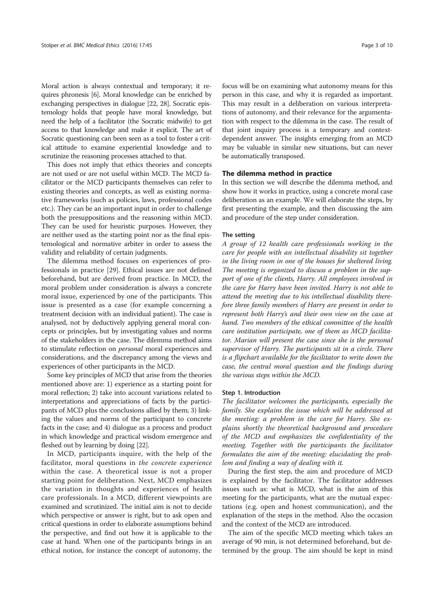Moral action is always contextual and temporary; it requires phronesis [6]. Moral knowledge can be enriched by exchanging perspectives in dialogue [22, 28]. Socratic epistemology holds that people have moral knowledge, but need the help of a facilitator (the Socratic midwife) to get access to that knowledge and make it explicit. The art of Socratic questioning can been seen as a tool to foster a critical attitude to examine experiential knowledge and to scrutinize the reasoning processes attached to that.

This does not imply that ethics theories and concepts are not used or are not useful within MCD. The MCD facilitator or the MCD participants themselves can refer to existing theories and concepts, as well as existing normative frameworks (such as policies, laws, professional codes etc.). They can be an important input in order to challenge both the presuppositions and the reasoning within MCD. They can be used for heuristic purposes. However, they are neither used as the starting point nor as the final epistemological and normative arbiter in order to assess the validity and reliability of certain judgments.

The dilemma method focuses on experiences of professionals in practice [29]. Ethical issues are not defined beforehand, but are derived from practice. In MCD, the moral problem under consideration is always a concrete moral issue, experienced by one of the participants. This issue is presented as a case (for example concerning a treatment decision with an individual patient). The case is analysed, not by deductively applying general moral concepts or principles, but by investigating values and norms of the stakeholders in the case. The dilemma method aims to stimulate reflection on personal moral experiences and considerations, and the discrepancy among the views and experiences of other participants in the MCD.

Some key principles of MCD that arise from the theories mentioned above are: 1) experience as a starting point for moral reflection; 2) take into account variations related to interpretations and appreciations of facts by the participants of MCD plus the conclusions allied by them; 3) linking the values and norms of the participant to concrete facts in the case; and 4) dialogue as a process and product in which knowledge and practical wisdom emergence and fleshed out by learning by doing [22].

In MCD, participants inquire, with the help of the facilitator, moral questions in the concrete experience within the case. A theoretical issue is not a proper starting point for deliberation. Next, MCD emphasizes the variation in thoughts and experiences of health care professionals. In a MCD, different viewpoints are examined and scrutinized. The initial aim is not to decide which perspective or answer is right, but to ask open and critical questions in order to elaborate assumptions behind the perspective, and find out how it is applicable to the case at hand. When one of the participants brings in an ethical notion, for instance the concept of autonomy, the

focus will be on examining what autonomy means for this person in this case, and why it is regarded as important. This may result in a deliberation on various interpretations of autonomy, and their relevance for the argumentation with respect to the dilemma in the case. The result of that joint inquiry process is a temporary and contextdependent answer. The insights emerging from an MCD may be valuable in similar new situations, but can never be automatically transposed.

### The dilemma method in practice

In this section we will describe the dilemma method, and show how it works in practice, using a concrete moral case deliberation as an example. We will elaborate the steps, by first presenting the example, and then discussing the aim and procedure of the step under consideration.

### The setting

A group of 12 health care professionals working in the care for people with an intellectual disability sit together in the living room in one of the houses for sheltered living. The meeting is organized to discuss a problem in the support of one of the clients, Harry. All employees involved in the care for Harry have been invited. Harry is not able to attend the meeting due to his intellectual disability therefore three family members of Harry are present in order to represent both Harry's and their own view on the case at hand. Two members of the ethical committee of the health care institution participate, one of them as MCD facilitator. Marian will present the case since she is the personal supervisor of Harry. The participants sit in a circle. There is a flipchart available for the facilitator to write down the case, the central moral question and the findings during the various steps within the MCD.

### Step 1. Introduction

The facilitator welcomes the participants, especially the family. She explains the issue which will be addressed at the meeting: a problem in the care for Harry. She explains shortly the theoretical background and procedure of the MCD and emphasizes the confidentiality of the meeting. Together with the participants the facilitator formulates the aim of the meeting: elucidating the problem and finding a way of dealing with it.

During the first step, the aim and procedure of MCD is explained by the facilitator. The facilitator addresses issues such as: what is MCD, what is the aim of this meeting for the participants, what are the mutual expectations (e.g. open and honest communication), and the explanation of the steps in the method. Also the occasion and the context of the MCD are introduced.

The aim of the specific MCD meeting which takes an average of 90 min, is not determined beforehand, but determined by the group. The aim should be kept in mind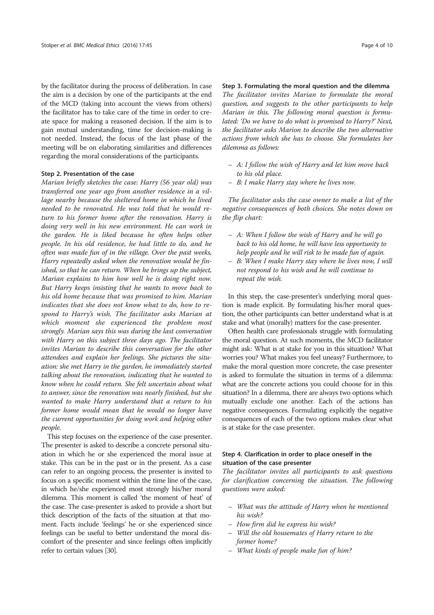by the facilitator during the process of deliberation. In case the aim is a decision by one of the participants at the end of the MCD (taking into account the views from others) the facilitator has to take care of the time in order to create space for making a reasoned decision. If the aim is to gain mutual understanding, time for decision-making is not needed. Instead, the focus of the last phase of the meeting will be on elaborating similarities and differences regarding the moral considerations of the participants.

### Step 2. Presentation of the case

Marian briefly sketches the case: Harry (56 year old) was transferred one year ago from another residence in a village nearby because the sheltered home in which he lived needed to be renovated. He was told that he would return to his former home after the renovation. Harry is doing very well in his new environment. He can work in the garden. He is liked because he often helps other people. In his old residence, he had little to do, and he often was made fun of in the village. Over the past weeks, Harry repeatedly asked when the renovation would be finished, so that he can return. When he brings up the subject, Marian explains to him how well he is doing right now. But Harry keeps insisting that he wants to move back to his old home because that was promised to him. Marian indicates that she does not know what to do, how to respond to Harry's wish. The facilitator asks Marian at which moment she experienced the problem most strongly. Marian says this was during the last conversation with Harry on this subject three days ago. The facilitator invites Marian to describe this conversation for the other attendees and explain her feelings. She pictures the situation: she met Harry in the garden, he immediately started talking about the renovation, indicating that he wanted to know when he could return. She felt uncertain about what to answer, since the renovation was nearly finished, but she wanted to make Harry understand that a return to his former home would mean that he would no longer have the current opportunities for doing work and helping other people.

This step focuses on the experience of the case presenter. The presenter is asked to describe a concrete personal situation in which he or she experienced the moral issue at stake. This can be in the past or in the present. As a case can refer to an ongoing process, the presenter is invited to focus on a specific moment within the time line of the case, in which he/she experienced most strongly his/her moral dilemma. This moment is called 'the moment of heat' of the case. The case-presenter is asked to provide a short but thick description of the facts of the situation at that moment. Facts include 'feelings' he or she experienced since feelings can be useful to better understand the moral discomfort of the presenter and since feelings often implicitly refer to certain values [30].

Step 3. Formulating the moral question and the dilemma The facilitator invites Marian to formulate the moral question, and suggests to the other participants to help Marian in this. The following moral question is formulated: 'Do we have to do what is promised to Harry?' Next, the facilitator asks Marion to describe the two alternative actions from which she has to choose. She formulates her dilemma as follows:

- A: I follow the wish of Harry and let him move back to his old place.
- B: I make Harry stay where he lives now.

The facilitator asks the case owner to make a list of the negative consequences of both choices. She notes down on the flip chart:

- A: When I follow the wish of Harry and he will go back to his old home, he will have less opportunity to help people and he will risk to be made fun of again.
- B: When I make Harry stay where he lives now, I will not respond to his wish and he will continue to repeat the wish.

In this step, the case-presenter's underlying moral question is made explicit. By formulating his/her moral question, the other participants can better understand what is at stake and what (morally) matters for the case-presenter.

Often health care professionals struggle with formulating the moral question. At such moments, the MCD facilitator might ask: What is at stake for you in this situation? What worries you? What makes you feel uneasy? Furthermore, to make the moral question more concrete, the case presenter is asked to formulate the situation in terms of a dilemma: what are the concrete actions you could choose for in this situation? In a dilemma, there are always two options which mutually exclude one another. Each of the actions has negative consequences. Formulating explicitly the negative consequences of each of the two options makes clear what is at stake for the case presenter.

# Step 4. Clarification in order to place oneself in the situation of the case presenter

The facilitator invites all participants to ask questions for clarification concerning the situation. The following questions were asked:

- What was the attitude of Harry when he mentioned his wish?
- How firm did he express his wish?
- Will the old housemates of Harry return to the former home?
- What kinds of people make fun of him?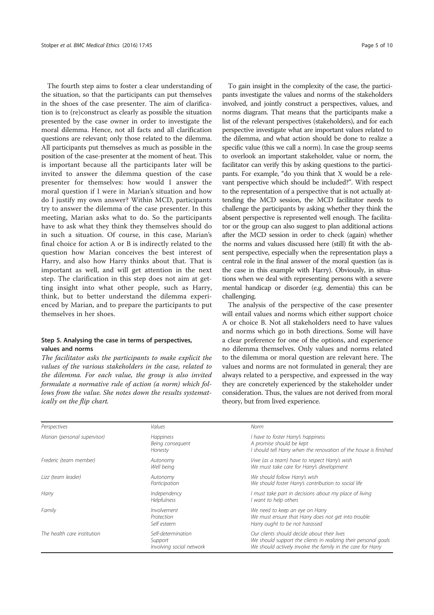The fourth step aims to foster a clear understanding of the situation, so that the participants can put themselves in the shoes of the case presenter. The aim of clarification is to (re)construct as clearly as possible the situation presented by the case owner in order to investigate the moral dilemma. Hence, not all facts and all clarification questions are relevant; only those related to the dilemma. All participants put themselves as much as possible in the position of the case-presenter at the moment of heat. This is important because all the participants later will be invited to answer the dilemma question of the case presenter for themselves: how would I answer the moral question if I were in Marian's situation and how do I justify my own answer? Within MCD, participants try to answer the dilemma of the case presenter. In this meeting, Marian asks what to do. So the participants have to ask what they think they themselves should do in such a situation. Of course, in this case, Marian's final choice for action A or B is indirectly related to the question how Marian conceives the best interest of Harry, and also how Harry thinks about that. That is important as well, and will get attention in the next step. The clarification in this step does not aim at getting insight into what other people, such as Harry, think, but to better understand the dilemma experienced by Marian, and to prepare the participants to put themselves in her shoes.

# Step 5. Analysing the case in terms of perspectives, values and norms

The facilitator asks the participants to make explicit the values of the various stakeholders in the case, related to the dilemma. For each value, the group is also invited formulate a normative rule of action (a norm) which follows from the value. She notes down the results systematically on the flip chart.

To gain insight in the complexity of the case, the participants investigate the values and norms of the stakeholders involved, and jointly construct a perspectives, values, and norms diagram. That means that the participants make a list of the relevant perspectives (stakeholders), and for each perspective investigate what are important values related to the dilemma, and what action should be done to realize a specific value (this we call a norm). In case the group seems to overlook an important stakeholder, value or norm, the facilitator can verify this by asking questions to the participants. For example, "do you think that X would be a relevant perspective which should be included?". With respect to the representation of a perspective that is not actually attending the MCD session, the MCD facilitator needs to challenge the participants by asking whether they think the absent perspective is represented well enough. The facilitator or the group can also suggest to plan additional actions after the MCD session in order to check (again) whether the norms and values discussed here (still) fit with the absent perspective, especially when the representation plays a central role in the final answer of the moral question (as is the case in this example with Harry). Obviously, in situations when we deal with representing persons with a severe mental handicap or disorder (e.g. dementia) this can be challenging.

The analysis of the perspective of the case presenter will entail values and norms which either support choice A or choice B. Not all stakeholders need to have values and norms which go in both directions. Some will have a clear preference for one of the options, and experience no dilemma themselves. Only values and norms related to the dilemma or moral question are relevant here. The values and norms are not formulated in general; they are always related to a perspective, and expressed in the way they are concretely experienced by the stakeholder under consideration. Thus, the values are not derived from moral theory, but from lived experience.

| Perspectives                 | Values                                                    | Norm                                                                                                                                                                          |
|------------------------------|-----------------------------------------------------------|-------------------------------------------------------------------------------------------------------------------------------------------------------------------------------|
| Marian (personal supervisor) | Happiness<br>Being consequent<br>Honesty                  | I have to foster Harry's happiness<br>A promise should be kept<br>I should tell Harry when the renovation of the house is finished                                            |
| Frederic (team member)       | Autonomy<br>Well being                                    | I/we (as a team) have to respect Harry's wish<br>We must take care for Harry's development                                                                                    |
| Lizz (team leader)           | Autonomy<br>Participation                                 | We should follow Harry's wish<br>We should foster Harry's contribution to social life                                                                                         |
| Harry                        | Independency<br>Helpfulness                               | I must take part in decisions about my place of living<br>I want to help others                                                                                               |
| Family                       | Involvement<br>Protection<br>Self esteem                  | We need to keep an eye on Harry<br>We must ensure that Harry does not get into trouble<br>Harry ought to be not harassed                                                      |
| The health care institution  | Self-determination<br>Support<br>Involving social network | Our clients should decide about their lives<br>We should support the clients in realizing their personal goals<br>We should actively involve the family in the care for Harry |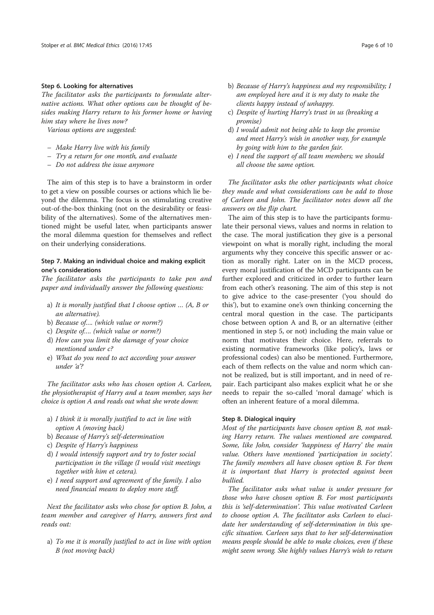### Step 6. Looking for alternatives

The facilitator asks the participants to formulate alternative actions. What other options can be thought of besides making Harry return to his former home or having him stay where he lives now?

Various options are suggested:

- Make Harry live with his family
- Try a return for one month, and evaluate
- Do not address the issue anymore

The aim of this step is to have a brainstorm in order to get a view on possible courses or actions which lie beyond the dilemma. The focus is on stimulating creative out-of-the-box thinking (not on the desirability or feasibility of the alternatives). Some of the alternatives mentioned might be useful later, when participants answer the moral dilemma question for themselves and reflect on their underlying considerations.

# Step 7. Making an individual choice and making explicit one's considerations

The facilitator asks the participants to take pen and paper and individually answer the following questions:

- a) It is morally justified that I choose option … (A, B or an alternative).
- b) Because of…. (which value or norm?)
- c) Despite of…. (which value or norm?)
- d) How can you limit the damage of your choice mentioned under c?
- e) What do you need to act according your answer under 'a'?

The facilitator asks who has chosen option A. Carleen, the physiotherapist of Harry and a team member, says her choice is option A and reads out what she wrote down:

- a) I think it is morally justified to act in line with option A (moving back)
- b) Because of Harry's self-determination
- c) Despite of Harry's happiness
- d) I would intensify support and try to foster social participation in the village (I would visit meetings together with him et cetera).
- e) I need support and agreement of the family. I also need financial means to deploy more staff.

Next the facilitator asks who chose for option B. John, a team member and caregiver of Harry, answers first and reads out:

a) To me it is morally justified to act in line with option B (not moving back)

- b) Because of Harry's happiness and my responsibility; I am employed here and it is my duty to make the clients happy instead of unhappy.
- c) Despite of hurting Harry's trust in us (breaking a promise)
- d) I would admit not being able to keep the promise and meet Harry's wish in another way, for example by going with him to the garden fair.
- e) I need the support of all team members; we should all choose the same option.

The facilitator asks the other participants what choice they made and what considerations can be add to those of Carleen and John. The facilitator notes down all the answers on the flip chart.

The aim of this step is to have the participants formulate their personal views, values and norms in relation to the case. The moral justification they give is a personal viewpoint on what is morally right, including the moral arguments why they conceive this specific answer or action as morally right. Later on in the MCD process, every moral justification of the MCD participants can be further explored and criticized in order to further learn from each other's reasoning. The aim of this step is not to give advice to the case-presenter ('you should do this'), but to examine one's own thinking concerning the central moral question in the case. The participants chose between option A and B, or an alternative (either mentioned in step 5, or not) including the main value or norm that motivates their choice. Here, referrals to existing normative frameworks (like policy's, laws or professional codes) can also be mentioned. Furthermore, each of them reflects on the value and norm which cannot be realized, but is still important, and in need of repair. Each participant also makes explicit what he or she needs to repair the so-called 'moral damage' which is often an inherent feature of a moral dilemma.

### Step 8. Dialogical inquiry

Most of the participants have chosen option B, not making Harry return. The values mentioned are compared. Some, like John, consider 'happiness of Harry' the main value. Others have mentioned 'participation in society'. The family members all have chosen option B. For them it is important that Harry is protected against been bullied.

The facilitator asks what value is under pressure for those who have chosen option B. For most participants this is 'self-determination'. This value motivated Carleen to choose option A. The facilitator asks Carleen to elucidate her understanding of self-determination in this specific situation. Carleen says that to her self-determination means people should be able to make choices, even if these might seem wrong. She highly values Harry's wish to return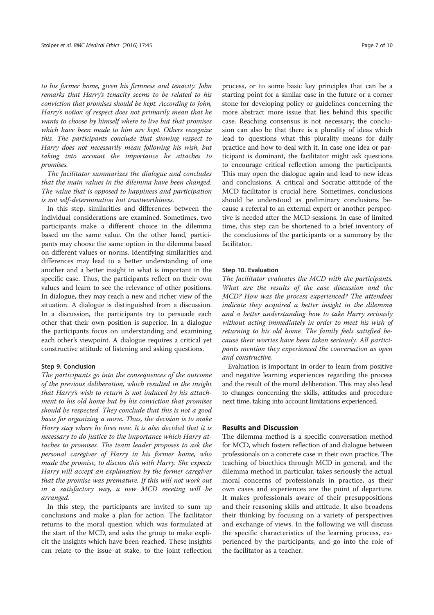to his former home, given his firmness and tenacity. John remarks that Harry's tenacity seems to be related to his conviction that promises should be kept. According to John, Harry's notion of respect does not primarily mean that he wants to choose by himself where to live but that promises which have been made to him are kept. Others recognize this. The participants conclude that showing respect to Harry does not necessarily mean following his wish, but taking into account the importance he attaches to promises.

The facilitator summarizes the dialogue and concludes that the main values in the dilemma have been changed. The value that is opposed to happiness and participation is not self-determination but trustworthiness.

In this step, similarities and differences between the individual considerations are examined. Sometimes, two participants make a different choice in the dilemma based on the same value. On the other hand, participants may choose the same option in the dilemma based on different values or norms. Identifying similarities and differences may lead to a better understanding of one another and a better insight in what is important in the specific case. Thus, the participants reflect on their own values and learn to see the relevance of other positions. In dialogue, they may reach a new and richer view of the situation. A dialogue is distinguished from a discussion. In a discussion, the participants try to persuade each other that their own position is superior. In a dialogue the participants focus on understanding and examining each other's viewpoint. A dialogue requires a critical yet constructive attitude of listening and asking questions.

### Step 9. Conclusion

The participants go into the consequences of the outcome of the previous deliberation, which resulted in the insight that Harry's wish to return is not induced by his attachment to his old home but by his conviction that promises should be respected. They conclude that this is not a good basis for organizing a move. Thus, the decision is to make Harry stay where he lives now. It is also decided that it is necessary to do justice to the importance which Harry attaches to promises. The team leader proposes to ask the personal caregiver of Harry in his former home, who made the promise, to discuss this with Harry. She expects Harry will accept an explanation by the former caregiver that the promise was premature. If this will not work out in a satisfactory way, a new MCD meeting will be arranged.

In this step, the participants are invited to sum up conclusions and make a plan for action. The facilitator returns to the moral question which was formulated at the start of the MCD, and asks the group to make explicit the insights which have been reached. These insights can relate to the issue at stake, to the joint reflection

process, or to some basic key principles that can be a starting point for a similar case in the future or a corner stone for developing policy or guidelines concerning the more abstract more issue that lies behind this specific case. Reaching consensus is not necessary; the conclusion can also be that there is a plurality of ideas which lead to questions what this plurality means for daily practice and how to deal with it. In case one idea or participant is dominant, the facilitator might ask questions to encourage critical reflection among the participants. This may open the dialogue again and lead to new ideas and conclusions. A critical and Socratic attitude of the MCD facilitator is crucial here. Sometimes, conclusions should be understood as preliminary conclusions because a referral to an external expert or another perspective is needed after the MCD sessions. In case of limited time, this step can be shortened to a brief inventory of the conclusions of the participants or a summary by the facilitator.

### Step 10. Evaluation

The facilitator evaluates the MCD with the participants. What are the results of the case discussion and the MCD? How was the process experienced? The attendees indicate they acquired a better insight in the dilemma and a better understanding how to take Harry seriously without acting immediately in order to meet his wish of returning to his old home. The family feels satisfied because their worries have been taken seriously. All participants mention they experienced the conversation as open and constructive.

Evaluation is important in order to learn from positive and negative learning experiences regarding the process and the result of the moral deliberation. This may also lead to changes concerning the skills, attitudes and procedure next time, taking into account limitations experienced.

# Results and Discussion

The dilemma method is a specific conversation method for MCD, which fosters reflection of and dialogue between professionals on a concrete case in their own practice. The teaching of bioethics through MCD in general, and the dilemma method in particular, takes seriously the actual moral concerns of professionals in practice, as their own cases and experiences are the point of departure. It makes professionals aware of their presuppositions and their reasoning skills and attitude. It also broadens their thinking by focusing on a variety of perspectives and exchange of views. In the following we will discuss the specific characteristics of the learning process, experienced by the participants, and go into the role of the facilitator as a teacher.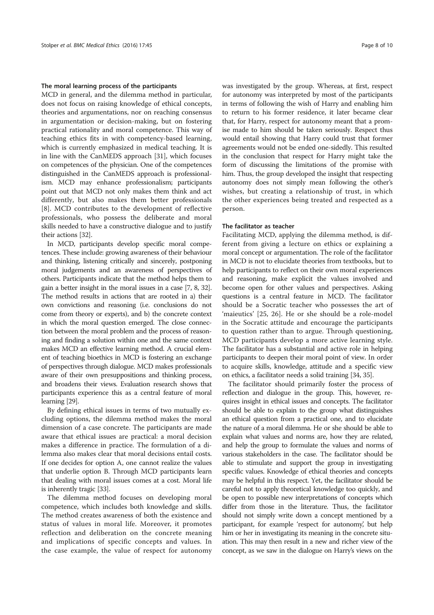### The moral learning process of the participants

MCD in general, and the dilemma method in particular, does not focus on raising knowledge of ethical concepts, theories and argumentations, nor on reaching consensus in argumentation or decision-making, but on fostering practical rationality and moral competence. This way of teaching ethics fits in with competency-based learning, which is currently emphasized in medical teaching. It is in line with the CanMEDS approach [31], which focuses on competences of the physician. One of the competences distinguished in the CanMEDS approach is professionalism. MCD may enhance professionalism; participants point out that MCD not only makes them think and act differently, but also makes them better professionals [8]. MCD contributes to the development of reflective professionals, who possess the deliberate and moral skills needed to have a constructive dialogue and to justify their actions [32].

In MCD, participants develop specific moral competences. These include: growing awareness of their behaviour and thinking, listening critically and sincerely, postponing moral judgements and an awareness of perspectives of others. Participants indicate that the method helps them to gain a better insight in the moral issues in a case [7, 8, 32]. The method results in actions that are rooted in a) their own convictions and reasoning (i.e. conclusions do not come from theory or experts), and b) the concrete context in which the moral question emerged. The close connection between the moral problem and the process of reasoning and finding a solution within one and the same context makes MCD an effective learning method. A crucial element of teaching bioethics in MCD is fostering an exchange of perspectives through dialogue. MCD makes professionals aware of their own presuppositions and thinking process, and broadens their views. Evaluation research shows that participants experience this as a central feature of moral learning [29].

By defining ethical issues in terms of two mutually excluding options, the dilemma method makes the moral dimension of a case concrete. The participants are made aware that ethical issues are practical: a moral decision makes a difference in practice. The formulation of a dilemma also makes clear that moral decisions entail costs. If one decides for option A, one cannot realize the values that underlie option B. Through MCD participants learn that dealing with moral issues comes at a cost. Moral life is inherently tragic [33].

The dilemma method focuses on developing moral competence, which includes both knowledge and skills. The method creates awareness of both the existence and status of values in moral life. Moreover, it promotes reflection and deliberation on the concrete meaning and implications of specific concepts and values. In the case example, the value of respect for autonomy was investigated by the group. Whereas, at first, respect for autonomy was interpreted by most of the participants in terms of following the wish of Harry and enabling him to return to his former residence, it later became clear that, for Harry, respect for autonomy meant that a promise made to him should be taken seriously. Respect thus would entail showing that Harry could trust that former agreements would not be ended one-sidedly. This resulted in the conclusion that respect for Harry might take the form of discussing the limitations of the promise with him. Thus, the group developed the insight that respecting autonomy does not simply mean following the other's wishes, but creating a relationship of trust, in which the other experiences being treated and respected as a person.

### The facilitator as teacher

Facilitating MCD, applying the dilemma method, is different from giving a lecture on ethics or explaining a moral concept or argumentation. The role of the facilitator in MCD is not to elucidate theories from textbooks, but to help participants to reflect on their own moral experiences and reasoning, make explicit the values involved and become open for other values and perspectives. Asking questions is a central feature in MCD. The facilitator should be a Socratic teacher who possesses the art of 'maieutics' [25, 26]. He or she should be a role-model in the Socratic attitude and encourage the participants to question rather than to argue. Through questioning, MCD participants develop a more active learning style. The facilitator has a substantial and active role in helping participants to deepen their moral point of view. In order to acquire skills, knowledge, attitude and a specific view on ethics, a facilitator needs a solid training [34, 35].

The facilitator should primarily foster the process of reflection and dialogue in the group. This, however, requires insight in ethical issues and concepts. The facilitator should be able to explain to the group what distinguishes an ethical question from a practical one, and to elucidate the nature of a moral dilemma. He or she should be able to explain what values and norms are, how they are related, and help the group to formulate the values and norms of various stakeholders in the case. The facilitator should be able to stimulate and support the group in investigating specific values. Knowledge of ethical theories and concepts may be helpful in this respect. Yet, the facilitator should be careful not to apply theoretical knowledge too quickly, and be open to possible new interpretations of concepts which differ from those in the literature. Thus, the facilitator should not simply write down a concept mentioned by a participant, for example 'respect for autonomy, but help ' him or her in investigating its meaning in the concrete situation. This may then result in a new and richer view of the concept, as we saw in the dialogue on Harry's views on the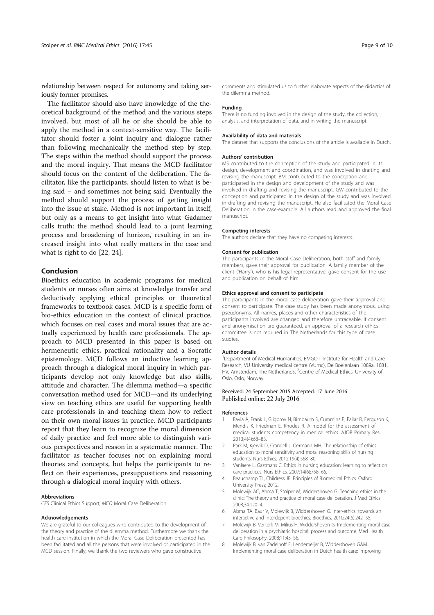relationship between respect for autonomy and taking seriously former promises.

The facilitator should also have knowledge of the theoretical background of the method and the various steps involved, but most of all he or she should be able to apply the method in a context-sensitive way. The facilitator should foster a joint inquiry and dialogue rather than following mechanically the method step by step. The steps within the method should support the process and the moral inquiry. That means the MCD facilitator should focus on the content of the deliberation. The facilitator, like the participants, should listen to what is being said – and sometimes not being said. Eventually the method should support the process of getting insight into the issue at stake. Method is not important in itself, but only as a means to get insight into what Gadamer calls truth: the method should lead to a joint learning process and broadening of horizon, resulting in an increased insight into what really matters in the case and what is right to do [22, 24].

# Conclusion

Bioethics education in academic programs for medical students or nurses often aims at knowledge transfer and deductively applying ethical principles or theoretical frameworks to textbook cases. MCD is a specific form of bio-ethics education in the context of clinical practice, which focuses on real cases and moral issues that are actually experienced by health care professionals. The approach to MCD presented in this paper is based on hermeneutic ethics, practical rationality and a Socratic epistemology. MCD follows an inductive learning approach through a dialogical moral inquiry in which participants develop not only knowledge but also skills, attitude and character. The dilemma method—a specific conversation method used for MCD—and its underlying view on teaching ethics are useful for supporting health care professionals in and teaching them how to reflect on their own moral issues in practice. MCD participants report that they learn to recognize the moral dimension of daily practice and feel more able to distinguish various perspectives and reason in a systematic manner. The facilitator as teacher focuses not on explaining moral theories and concepts, but helps the participants to reflect on their experiences, presuppositions and reasoning through a dialogical moral inquiry with others.

#### Abbreviations

CES Clinical Ethics Support; MCD Moral Case Deliberation

#### Acknowledgements

We are grateful to our colleagues who contributed to the development of the theory and practice of the dilemma method. Furthermore we thank the health care institution in which the Moral Case Deliberation presented has been facilitated and all the persons that were involved or participated in the MCD session. Finally, we thank the two reviewers who gave constructive

comments and stimulated us to further elaborate aspects of the didactics of the dilemma method.

#### Funding

There is no funding involved in the design of the study, the collection, analysis, and interpretation of data, and in writing the manuscript.

#### Availability of data and materials

The dataset that supports the conclusions of the article is available in Dutch.

#### Authors' contribution

MS contributed to the conception of the study and participated in its design, development and coordination, and was involved in drafting and revising the manuscript. BM contributed to the conception and participated in the design and development of the study and was involved in drafting and revising the manuscript. GW contributed to the conception and participated in the design of the study and was involved in drafting and revising the manuscript. He also facilitated the Moral Case Deliberation in the case-example. All authors read and approved the final manuscript.

#### Competing interests

The authors declare that they have no competing interests.

#### Consent for publication

The participants in the Moral Case Deliberation, both staff and family members, gave their approval for publication. A family member of the client ('Harry'), who is his legal representative, gave consent for the use and publication on behalf of him.

### Ethics approval and consent to participate

The participants in the moral case deliberation gave their approval and consent to participate. The case study has been made anonymous, using pseudonyms. All names, places and other characteristics of the participants involved are changed and therefore untraceable. If consent and anonymisation are guaranteed, an approval of a research ethics committee is not required in The Netherlands for this type of case studies.

#### Author details

<sup>1</sup>Department of Medical Humanities, EMGO+ Institute for Health and Care Research, VU University medical centre (VUmc), De Boelenlaan 1089a, 1081, HV, Amsterdam, The Netherlands. <sup>2</sup> Centre of Medical Ethics, University of Oslo, Oslo, Norway.

### Received: 24 September 2015 Accepted: 17 June 2016 Published online: 22 July 2016

#### References

- 1. Favia A, Frank L, Gligorov N, Birnbaum S, Cummins P, Fallar R, Ferguson K, Mendis K, Friedman E, Rhodes R. A model for the assessment of medical students competency in medical ethics. AJOB Primary Res. 2013;4(4):68–83.
- 2. Park M, Kjervik D, Crandell J, Oermann MH. The relationship of ethics education to moral sensitivity and moral reasoning skills of nursing students. Nurs Ethics. 2012;19(4):568–80.
- 3. Vanlaere L, Gastmans C. Ethics in nursing education: learning to reflect on care practices. Nurs Ethics. 2007;14(6):758–66.
- 4. Beauchamp TL, Childress JF. Principles of Biomedical Ethics. Oxford University Press; 2012.
- 5. Molewijk AC, Abma T, Stolper M, Widdershoven G. Teaching ethics in the clinic: The theory and practice of moral case deliberation. J Med Ethics. 2008;34:120–4.
- 6. Abma TA, Baur V, Molewijk B, Widdershoven G. Inter-ethics: towards an interactive and interdepent bioethics. Bioethics. 2010;24(5):242–55.
- 7. Molewijk B, Verkerk M, Milius H, Widdershoven G. Implementing moral case deliberation in a psychiatric hospital: process and outcome. Med Health Care Philosophy. 2008;11:43–56.
- 8. Molewijk B, van Zadelhoff E, Lendemeijer B, Widdershoven GAM. Implementing moral case deliberation in Dutch health care; Improving